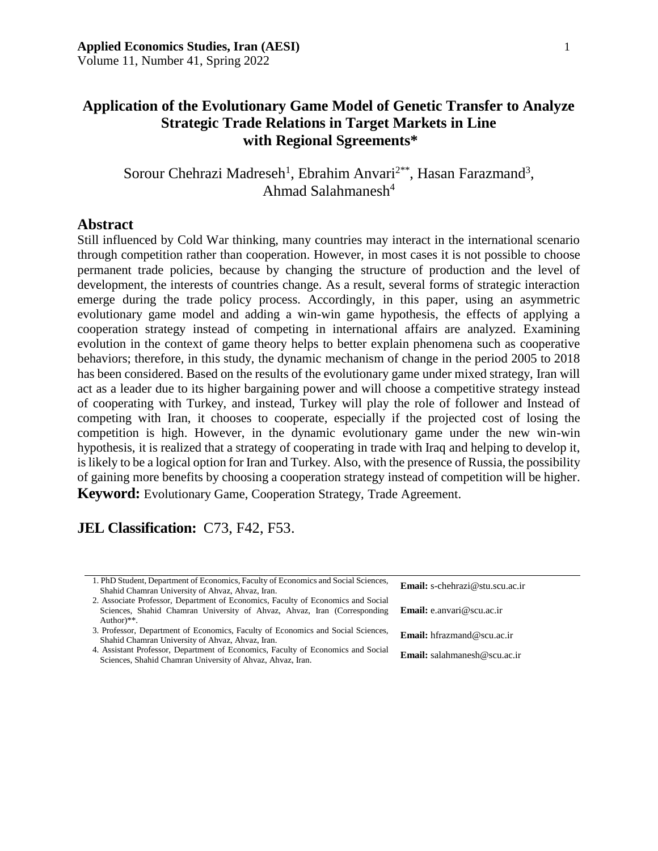Sorour Chehrazi Madreseh<sup>1</sup>, Ebrahim Anvari<sup>2\*\*</sup>, Hasan Farazmand<sup>3</sup>, Ahmad Salahmanesh $4$ 

### **Abstract**

Still influenced by Cold War thinking, many countries may interact in the international scenario through competition rather than cooperation. However, in most cases it is not possible to choose permanent trade policies, because by changing the structure of production and the level of development, the interests of countries change. As a result, several forms of strategic interaction emerge during the trade policy process. Accordingly, in this paper, using an asymmetric evolutionary game model and adding a win-win game hypothesis, the effects of applying a cooperation strategy instead of competing in international affairs are analyzed. Examining evolution in the context of game theory helps to better explain phenomena such as cooperative behaviors; therefore, in this study, the dynamic mechanism of change in the period 2005 to 2018 has been considered. Based on the results of the evolutionary game under mixed strategy, Iran will act as a leader due to its higher bargaining power and will choose a competitive strategy instead of cooperating with Turkey, and instead, Turkey will play the role of follower and Instead of competing with Iran, it chooses to cooperate, especially if the projected cost of losing the competition is high. However, in the dynamic evolutionary game under the new win-win hypothesis, it is realized that a strategy of cooperating in trade with Iraq and helping to develop it, is likely to be a logical option for Iran and Turkey. Also, with the presence of Russia, the possibility of gaining more benefits by choosing a cooperation strategy instead of competition will be higher. **Keyword:** Evolutionary Game, Cooperation Strategy, Trade Agreement.

# **JEL Classification:** C73, F42, F53.

| 1. PhD Student, Department of Economics, Faculty of Economics and Social Sciences, | <b>Email:</b> s-chehrazi@stu.scu.ac.ir |
|------------------------------------------------------------------------------------|----------------------------------------|
| Shahid Chamran University of Ahvaz, Ahvaz, Iran.                                   |                                        |
| 2. Associate Professor, Department of Economics, Faculty of Economics and Social   |                                        |
| Sciences, Shahid Chamran University of Ahvaz, Ahvaz, Iran (Corresponding)          | <b>Email:</b> e.anvari@scu.ac.ir       |
| Author $)**$ .                                                                     |                                        |
| 3. Professor, Department of Economics, Faculty of Economics and Social Sciences,   | <b>Email:</b> hfrazmand@scu.ac.ir      |
| Shahid Chamran University of Ahvaz, Ahvaz, Iran.                                   |                                        |
| 4. Assistant Professor, Department of Economics, Faculty of Economics and Social   | <b>Email:</b> salahmanesh@scu.ac.ir    |
| Sciences, Shahid Chamran University of Ahvaz, Ahvaz, Iran.                         |                                        |
|                                                                                    |                                        |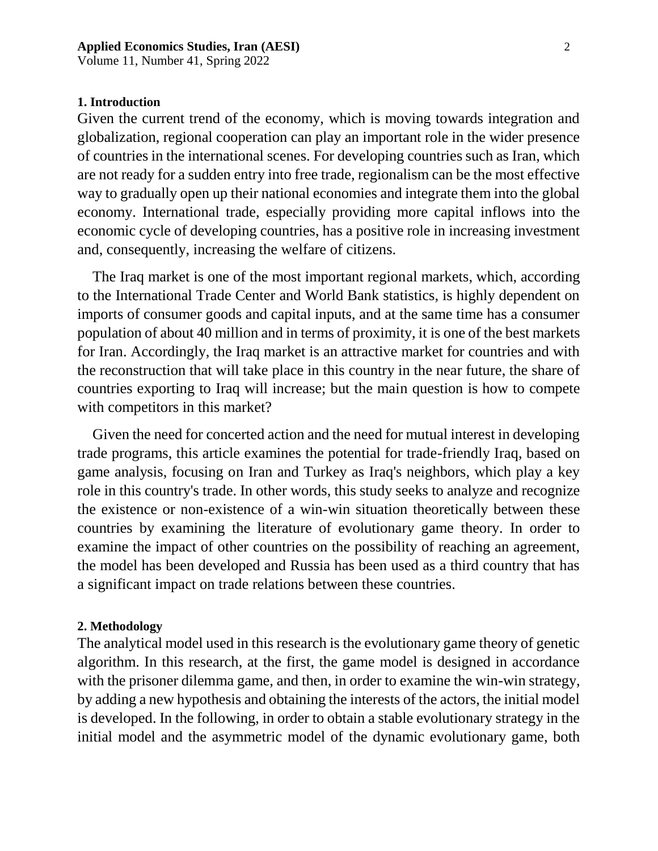Volume 11, Number 41, Spring 2022

#### **1. Introduction**

Given the current trend of the economy, which is moving towards integration and globalization, regional cooperation can play an important role in the wider presence of countries in the international scenes. For developing countries such as Iran, which are not ready for a sudden entry into free trade, regionalism can be the most effective way to gradually open up their national economies and integrate them into the global economy. International trade, especially providing more capital inflows into the economic cycle of developing countries, has a positive role in increasing investment and, consequently, increasing the welfare of citizens.

The Iraq market is one of the most important regional markets, which, according to the International Trade Center and World Bank statistics, is highly dependent on imports of consumer goods and capital inputs, and at the same time has a consumer population of about 40 million and in terms of proximity, it is one of the best markets for Iran. Accordingly, the Iraq market is an attractive market for countries and with the reconstruction that will take place in this country in the near future, the share of countries exporting to Iraq will increase; but the main question is how to compete with competitors in this market?

Given the need for concerted action and the need for mutual interest in developing trade programs, this article examines the potential for trade-friendly Iraq, based on game analysis, focusing on Iran and Turkey as Iraq's neighbors, which play a key role in this country's trade. In other words, this study seeks to analyze and recognize the existence or non-existence of a win-win situation theoretically between these countries by examining the literature of evolutionary game theory. In order to examine the impact of other countries on the possibility of reaching an agreement, the model has been developed and Russia has been used as a third country that has a significant impact on trade relations between these countries.

### **2. Methodology**

The analytical model used in this research is the evolutionary game theory of genetic algorithm. In this research, at the first, the game model is designed in accordance with the prisoner dilemma game, and then, in order to examine the win-win strategy, by adding a new hypothesis and obtaining the interests of the actors, the initial model is developed. In the following, in order to obtain a stable evolutionary strategy in the initial model and the asymmetric model of the dynamic evolutionary game, both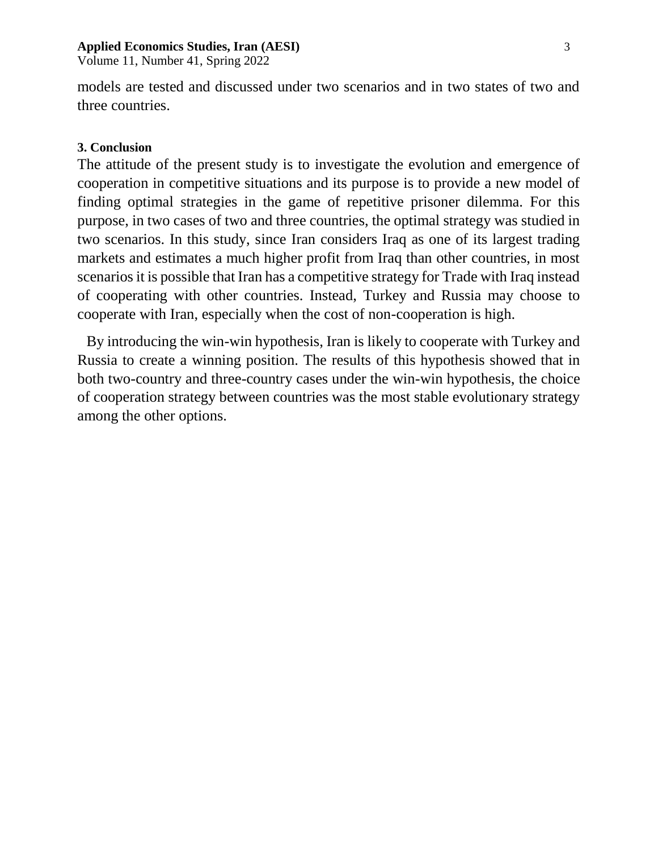Volume 11, Number 41, Spring 2022

models are tested and discussed under two scenarios and in two states of two and three countries.

### **3. Conclusion**

The attitude of the present study is to investigate the evolution and emergence of cooperation in competitive situations and its purpose is to provide a new model of finding optimal strategies in the game of repetitive prisoner dilemma. For this purpose, in two cases of two and three countries, the optimal strategy was studied in two scenarios. In this study, since Iran considers Iraq as one of its largest trading markets and estimates a much higher profit from Iraq than other countries, in most scenarios it is possible that Iran has a competitive strategy for Trade with Iraq instead of cooperating with other countries. Instead, Turkey and Russia may choose to cooperate with Iran, especially when the cost of non-cooperation is high.

By introducing the win-win hypothesis, Iran is likely to cooperate with Turkey and Russia to create a winning position. The results of this hypothesis showed that in both two-country and three-country cases under the win-win hypothesis, the choice of cooperation strategy between countries was the most stable evolutionary strategy among the other options.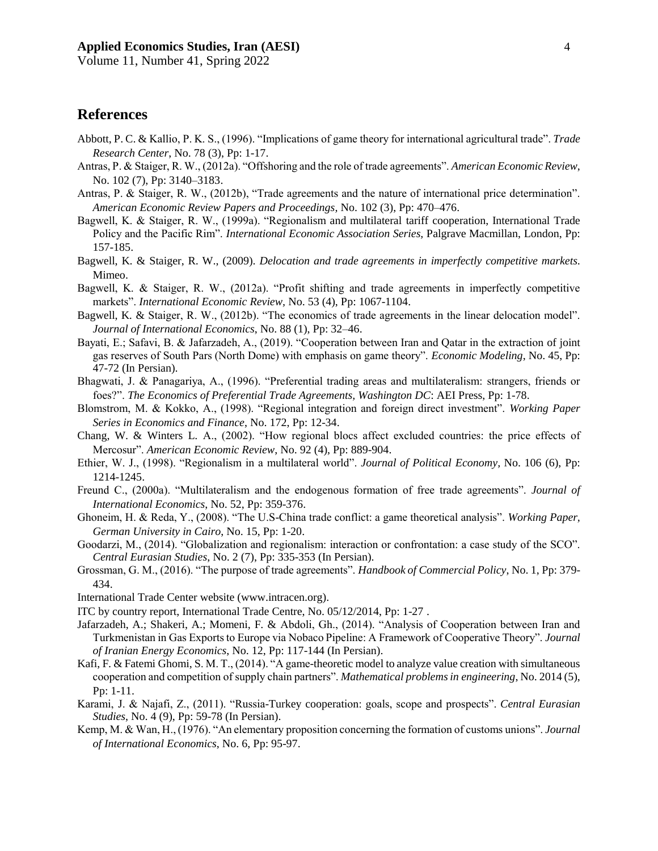Volume 11, Number 41, Spring 2022

## **References**

- Abbott, P. C. & Kallio, P. K. S., (1996). "Implications of game theory for international agricultural trade". *Trade Research Center*, No. 78 (3), Pp: 1-17.
- Antras, P. & Staiger, R. W., (2012a). "Offshoring and the role of trade agreements". *American Economic Review*, No. 102 (7), Pp: 3140–3183.
- Antras, P. & Staiger, R. W., (2012b), "Trade agreements and the nature of international price determination". *American Economic Review Papers and Proceedings,* No. 102 (3), Pp: 470–476.
- Bagwell, K. & Staiger, R. W., (1999a). "Regionalism and multilateral tariff cooperation, International Trade Policy and the Pacific Rim". *International Economic Association Series,* Palgrave Macmillan, London, Pp: 157-185.
- Bagwell, K. & Staiger, R. W., (2009). *Delocation and trade agreements in imperfectly competitive markets*. Mimeo.
- Bagwell, K. & Staiger, R. W., (2012a). "Profit shifting and trade agreements in imperfectly competitive markets". *International Economic Review,* No. 53 (4), Pp: 1067-1104.
- Bagwell, K. & Staiger, R. W., (2012b). "The economics of trade agreements in the linear delocation model". *Journal of International Economics*, No. 88 (1), Pp: 32–46.
- Bayati, E.; Safavi, B. & Jafarzadeh, A., (2019). "Cooperation between Iran and Qatar in the extraction of joint gas reserves of South Pars (North Dome) with emphasis on game theory". *Economic Modeling*, No. 45, Pp: 47-72 (In Persian).
- Bhagwati, J. & Panagariya, A., (1996). "Preferential trading areas and multilateralism: strangers, friends or foes?". *The Economics of Preferential Trade Agreements, Washington DC*: AEI Press, Pp: 1-78.
- Blomstrom, M. & Kokko, A., (1998). "Regional integration and foreign direct investment". *Working Paper Series in Economics and Finance*, No. 172, Pp: 12-34.
- Chang, W. & Winters L. A., (2002). "How regional blocs affect excluded countries: the price effects of Mercosur". *American Economic Review*, No. 92 (4), Pp: 889-904.
- Ethier, W. J., (1998). "Regionalism in a multilateral world". *Journal of Political Economy,* No. 106 (6), Pp: 1214-1245.
- Freund C., (2000a). "Multilateralism and the endogenous formation of free trade agreements". *Journal of International Economics*, No. 52, Pp: 359-376.
- Ghoneim, H. & Reda, Y., (2008). "The U.S-China trade conflict: a game theoretical analysis". *Working Paper, German University in Cairo*, No. 15, Pp: 1-20.
- Goodarzi, M., (2014). "Globalization and regionalism: interaction or confrontation: a case study of the SCO". *Central Eurasian Studies*, No. 2 (7), Pp: 335-353 (In Persian).
- Grossman, G. M., (2016). "The purpose of trade agreements". *Handbook of Commercial Policy*, No. 1, Pp: 379- 434.
- International Trade Center website (www.intracen.org).
- ITC by country report, International Trade Centre, No. 05/12/2014, Pp: 1-27 .
- Jafarzadeh, A.; Shakeri, A.; Momeni, F. & Abdoli, Gh., (2014). "Analysis of Cooperation between Iran and Turkmenistan in Gas Exports to Europe via Nobaco Pipeline: A Framework of Cooperative Theory". *Journal of Iranian Energy Economics*, No. 12, Pp: 117-144 (In Persian).
- Kafi, F. & Fatemi Ghomi, S. M. T., (2014). "A game-theoretic model to analyze value creation with simultaneous cooperation and competition of supply chain partners". *Mathematical problems in engineering*, No. 2014 (5), Pp: 1-11.
- Karami, J. & Najafi, Z., (2011). "Russia-Turkey cooperation: goals, scope and prospects". *Central Eurasian Studies*, No. 4 (9), Pp: 59-78 (In Persian).
- Kemp, M. & Wan, H., (1976). "An elementary proposition concerning the formation of customs unions". *Journal of International Economics*, No. 6, Pp: 95-97.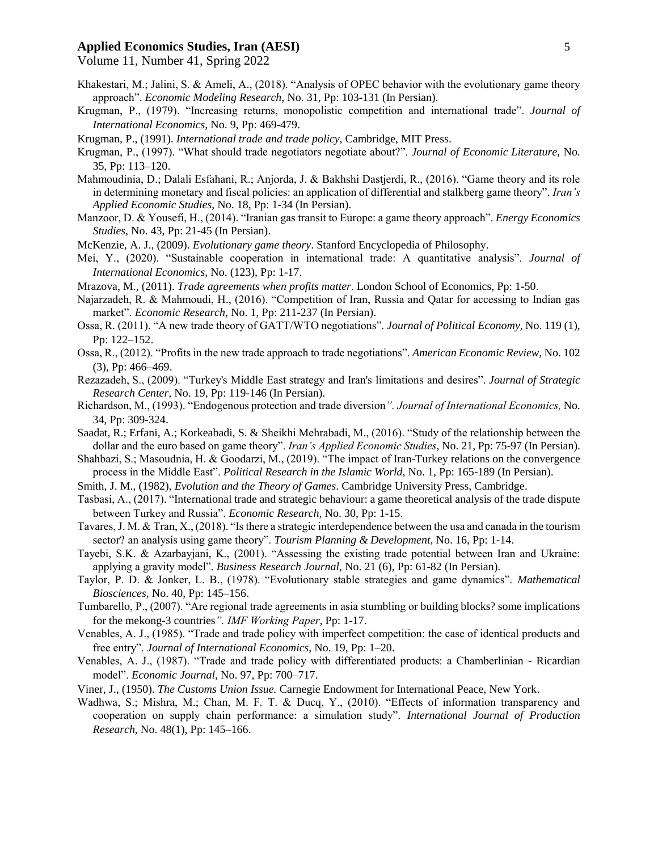Volume 11, Number 41, Spring 2022

- Khakestari, M.; Jalini, S. & Ameli, A., (2018). "Analysis of OPEC behavior with the evolutionary game theory approach". *Economic Modeling Research*, No. 31, Pp: 103-131 (In Persian).
- Krugman, P., (1979). "Increasing returns, monopolistic competition and international trade". *Journal of International Economics*, No. 9, Pp: 469-479.
- Krugman, P., (1991). *International trade and trade policy*, Cambridge, MIT Press.
- Krugman, P., (1997). "What should trade negotiators negotiate about?". *Journal of Economic Literature,* No. 35, Pp: 113–120.
- Mahmoudinia, D.; Dalali Esfahani, R.; Anjorda, J. & Bakhshi Dastjerdi, R., (2016). "Game theory and its role in determining monetary and fiscal policies: an application of differential and stalkberg game theory". *Iran's Applied Economic Studies*, No. 18, Pp: 1-34 (In Persian).
- Manzoor, D. & Yousefi, H., (2014). "Iranian gas transit to Europe: a game theory approach". *Energy Economics Studies*, No. 43, Pp: 21-45 (In Persian).
- McKenzie, A. J., (2009). *Evolutionary game theory*. Stanford Encyclopedia of Philosophy.
- Mei, Y., (2020). "Sustainable cooperation in international trade: A quantitative analysis". *Journal of International Economics*, No. (123), Pp: 1-17.
- Mrazova, M., (2011). *Trade agreements when profits matter*. London School of Economics, Pp: 1-50.
- Najarzadeh, R. & Mahmoudi, H., (2016). "Competition of Iran, Russia and Qatar for accessing to Indian gas market". *Economic Research*, No. 1, Pp: 211-237 (In Persian).
- Ossa, R. (2011). "A new trade theory of GATT/WTO negotiations". *Journal of Political Economy,* No. 119 (1), Pp: 122–152.
- Ossa, R., (2012). "Profits in the new trade approach to trade negotiations". *American Economic Review*, No. 102 (3), Pp: 466–469.
- Rezazadeh, S., (2009). "Turkey's Middle East strategy and Iran's limitations and desires". *Journal of Strategic Research Center*, No. 19, Pp: 119-146 (In Persian).
- Richardson, M., (1993). "Endogenous protection and trade diversion*". Journal of International Economics,* No. 34, Pp: 309-324.
- Saadat, R.; Erfani, A.; Korkeabadi, S. & Sheikhi Mehrabadi, M., (2016). "Study of the relationship between the dollar and the euro based on game theory". *Iran's Applied Economic Studies*, No. 21, Pp: 75-97 (In Persian).
- Shahbazi, S.; Masoudnia, H. & Goodarzi, M., (2019). "The impact of Iran-Turkey relations on the convergence process in the Middle East". *Political Research in the Islamic World*, No. 1, Pp: 165-189 (In Persian).
- Smith, J. M., (1982), *Evolution and the Theory of Games*. Cambridge University Press, Cambridge.
- Tasbasi, A., (2017). "International trade and strategic behaviour: a game theoretical analysis of the trade dispute between Turkey and Russia". *Economic Research*, No. 30, Pp: 1-15.
- Tavares, J. M. & Tran, X., (2018). "Is there a strategic interdependence between the usa and canada in the tourism sector? an analysis using game theory". *Tourism Planning & Development*, No. 16, Pp: 1-14.
- Tayebi, S.K. & Azarbayjani, K., (2001). "Assessing the existing trade potential between Iran and Ukraine: applying a gravity model". *Business Research Journal*, No. 21 (6), Pp: 61-82 (In Persian).
- Taylor, P. D. & Jonker, L. B., (1978). "Evolutionary stable strategies and game dynamics". *Mathematical Biosciences*, No. 40, Pp: 145–156.
- Tumbarello, P., (2007). "Are regional trade agreements in asia stumbling or building blocks? some implications for the mekong-3 countries*". IMF Working Paper*, Pp: 1-17.
- Venables, A. J., (1985). "Trade and trade policy with imperfect competition: the case of identical products and free entry". *Journal of International Economics*, No. 19, Pp: 1–20.
- Venables, A. J., (1987). "Trade and trade policy with differentiated products: a Chamberlinian Ricardian model". *Economic Journal*, No. 97, Pp: 700–717.
- Viner, J., (1950). *The Customs Union Issue.* Carnegie Endowment for International Peace, New York.
- Wadhwa, S.; Mishra, M.; Chan, M. F. T. & Ducq, Y., (2010). "Effects of information transparency and cooperation on supply chain performance: a simulation study". *International Journal of Production Research*, No. 48(1), Pp: 145–166.